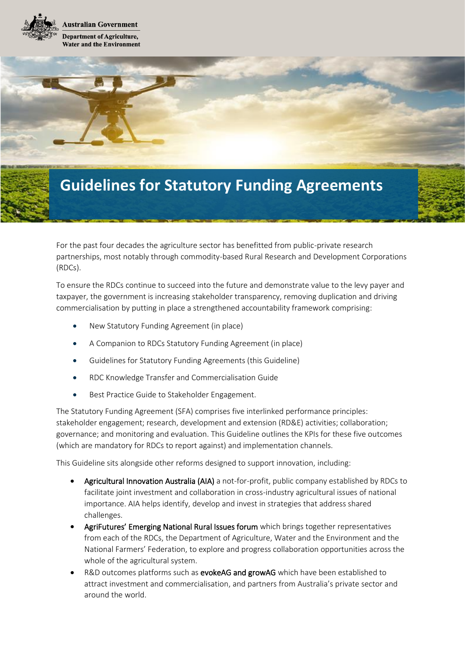



For the past four decades the agriculture sector has benefitted from public-private research partnerships, most notably through commodity-based Rural Research and Development Corporations (RDCs).

To ensure the RDCs continue to succeed into the future and demonstrate value to the levy payer and taxpayer, the government is increasing stakeholder transparency, removing duplication and driving commercialisation by putting in place a strengthened accountability framework comprising:

- New Statutory Funding Agreement (in place)
- A Companion to RDCs Statutory Funding Agreement (in place)
- Guidelines for Statutory Funding Agreements (this Guideline)
- RDC Knowledge Transfer and Commercialisation Guide
- Best Practice Guide to Stakeholder Engagement.

The Statutory Funding Agreement (SFA) comprises five interlinked performance principles: stakeholder engagement; research, development and extension (RD&E) activities; collaboration; governance; and monitoring and evaluation. This Guideline outlines the KPIs for these five outcomes (which are mandatory for RDCs to report against) and implementation channels.

This Guideline sits alongside other reforms designed to support innovation, including:

- Agricultural Innovation Australia (AIA) a not-for-profit, public company established by RDCs to facilitate joint investment and collaboration in cross-industry agricultural issues of national importance. AIA helps identify, develop and invest in strategies that address shared challenges.
- AgriFutures' Emerging National Rural Issues forum which brings together representatives from each of the RDCs, the Department of Agriculture, Water and the Environment and the National Farmers' Federation, to explore and progress collaboration opportunities across the whole of the agricultural system.
- R&D outcomes platforms such as evokeAG and growAG which have been established to attract investment and commercialisation, and partners from Australia's private sector and around the world.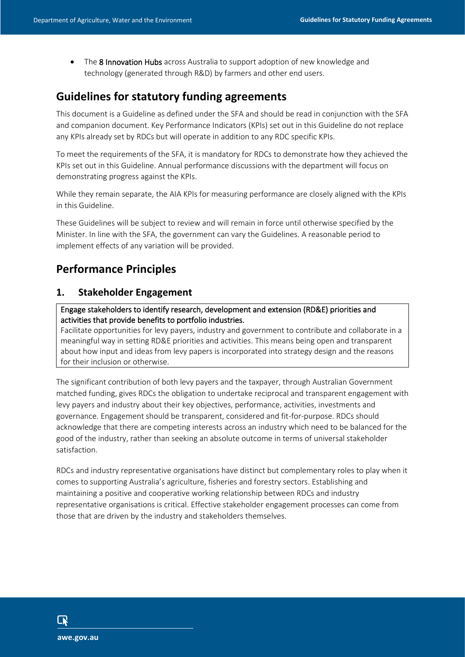• The 8 Innovation Hubs across Australia to support adoption of new knowledge and technology (generated through R&D) by farmers and other end users.

## **Guidelines for statutory funding agreements**

This document is a Guideline as defined under the SFA and should be read in conjunction with the SFA and companion document. Key Performance Indicators (KPIs) set out in this Guideline do not replace any KPIs already set by RDCs but will operate in addition to any RDC specific KPIs.

To meet the requirements of the SFA, it is mandatory for RDCs to demonstrate how they achieved the KPIs set out in this Guideline. Annual performance discussions with the department will focus on demonstrating progress against the KPIs.

While they remain separate, the AIA KPIs for measuring performance are closely aligned with the KPIs in this Guideline.

These Guidelines will be subject to review and will remain in force until otherwise specified by the Minister. In line with the SFA, the government can vary the Guidelines. A reasonable period to implement effects of any variation will be provided.

# **Performance Principles**

## **1. Stakeholder Engagement**

Engage stakeholders to identify research, development and extension (RD&E) priorities and activities that provide benefits to portfolio industries.

Facilitate opportunities for levy payers, industry and government to contribute and collaborate in a meaningful way in setting RD&E priorities and activities. This means being open and transparent about how input and ideas from levy papers is incorporated into strategy design and the reasons for their inclusion or otherwise.

The significant contribution of both levy payers and the taxpayer, through Australian Government matched funding, gives RDCs the obligation to undertake reciprocal and transparent engagement with levy payers and industry about their key objectives, performance, activities, investments and governance. Engagement should be transparent, considered and fit-for-purpose. RDCs should acknowledge that there are competing interests across an industry which need to be balanced for the good of the industry, rather than seeking an absolute outcome in terms of universal stakeholder satisfaction.

RDCs and industry representative organisations have distinct but complementary roles to play when it comes to supporting Australia's agriculture, fisheries and forestry sectors. Establishing and maintaining a positive and cooperative working relationship between RDCs and industry representative organisations is critical. Effective stakeholder engagement processes can come from those that are driven by the industry and stakeholders themselves.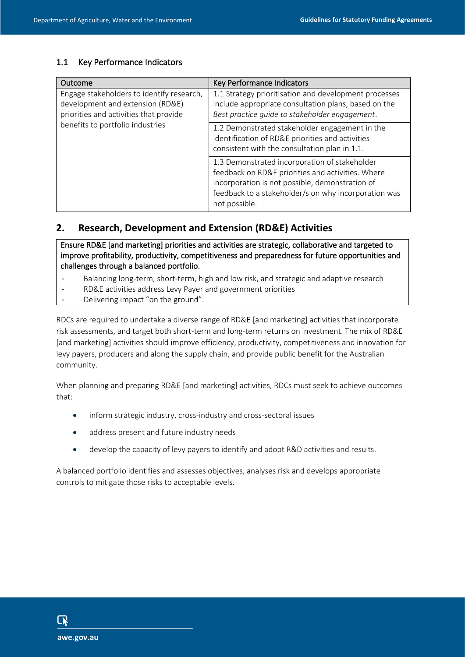| Outcome                                                                                                                                                     | Key Performance Indicators                                                                                                                                                                                                     |
|-------------------------------------------------------------------------------------------------------------------------------------------------------------|--------------------------------------------------------------------------------------------------------------------------------------------------------------------------------------------------------------------------------|
| Engage stakeholders to identify research,<br>development and extension (RD&E)<br>priorities and activities that provide<br>benefits to portfolio industries | 1.1 Strategy prioritisation and development processes<br>include appropriate consultation plans, based on the<br>Best practice guide to stakeholder engagement.                                                                |
|                                                                                                                                                             | 1.2 Demonstrated stakeholder engagement in the<br>identification of RD&E priorities and activities<br>consistent with the consultation plan in 1.1.                                                                            |
|                                                                                                                                                             | 1.3 Demonstrated incorporation of stakeholder<br>feedback on RD&E priorities and activities. Where<br>incorporation is not possible, demonstration of<br>feedback to a stakeholder/s on why incorporation was<br>not possible. |

#### **2. Research, Development and Extension (RD&E) Activities**

Ensure RD&E [and marketing] priorities and activities are strategic, collaborative and targeted to improve profitability, productivity, competitiveness and preparedness for future opportunities and challenges through a balanced portfolio.

- Balancing long-term, short-term, high and low risk, and strategic and adaptive research
- RD&E activities address Levy Payer and government priorities
- Delivering impact "on the ground".

RDCs are required to undertake a diverse range of RD&E [and marketing] activities that incorporate risk assessments, and target both short-term and long-term returns on investment. The mix of RD&E [and marketing] activities should improve efficiency, productivity, competitiveness and innovation for levy payers, producers and along the supply chain, and provide public benefit for the Australian community.

When planning and preparing RD&E [and marketing] activities, RDCs must seek to achieve outcomes that:

- inform strategic industry, cross-industry and cross-sectoral issues
- address present and future industry needs
- develop the capacity of levy payers to identify and adopt R&D activities and results.

A balanced portfolio identifies and assesses objectives, analyses risk and develops appropriate controls to mitigate those risks to acceptable levels.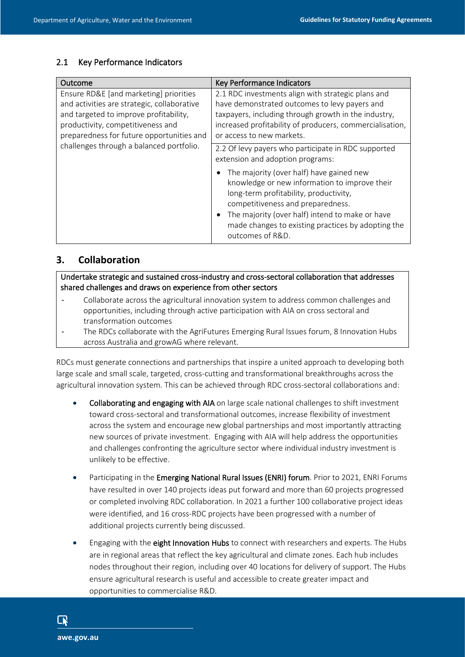| Outcome                                                                                                                                                                                                                                                       | <b>Key Performance Indicators</b>                                                                                                                                                                                                                                                                                                                                                                |
|---------------------------------------------------------------------------------------------------------------------------------------------------------------------------------------------------------------------------------------------------------------|--------------------------------------------------------------------------------------------------------------------------------------------------------------------------------------------------------------------------------------------------------------------------------------------------------------------------------------------------------------------------------------------------|
| Ensure RD&E [and marketing] priorities<br>and activities are strategic, collaborative<br>and targeted to improve profitability,<br>productivity, competitiveness and<br>preparedness for future opportunities and<br>challenges through a balanced portfolio. | 2.1 RDC investments align with strategic plans and<br>have demonstrated outcomes to levy payers and<br>taxpayers, including through growth in the industry,<br>increased profitability of producers, commercialisation,<br>or access to new markets.                                                                                                                                             |
|                                                                                                                                                                                                                                                               | 2.2 Of levy payers who participate in RDC supported<br>extension and adoption programs:<br>The majority (over half) have gained new<br>knowledge or new information to improve their<br>long-term profitability, productivity,<br>competitiveness and preparedness.<br>The majority (over half) intend to make or have<br>made changes to existing practices by adopting the<br>outcomes of R&D. |

## **3. Collaboration**

Undertake strategic and sustained cross-industry and cross-sectoral collaboration that addresses shared challenges and draws on experience from other sectors

- Collaborate across the agricultural innovation system to address common challenges and opportunities, including through active participation with AIA on cross sectoral and transformation outcomes
- The RDCs collaborate with the AgriFutures Emerging Rural Issues forum, 8 Innovation Hubs across Australia and growAG where relevant.

RDCs must generate connections and partnerships that inspire a united approach to developing both large scale and small scale, targeted, cross-cutting and transformational breakthroughs across the agricultural innovation system. This can be achieved through RDC cross-sectoral collaborations and:

- Collaborating and engaging with AIA on large scale national challenges to shift investment toward cross-sectoral and transformational outcomes, increase flexibility of investment across the system and encourage new global partnerships and most importantly attracting new sources of private investment. Engaging with AIA will help address the opportunities and challenges confronting the agriculture sector where individual industry investment is unlikely to be effective.
- Participating in the Emerging National Rural Issues (ENRI) forum. Prior to 2021, ENRI Forums have resulted in over 140 projects ideas put forward and more than 60 projects progressed or completed involving RDC collaboration. In 2021 a further 100 collaborative project ideas were identified, and 16 cross-RDC projects have been progressed with a number of additional projects currently being discussed.
- Engaging with the eight Innovation Hubs to connect with researchers and experts. The Hubs are in regional areas that reflect the key agricultural and climate zones. Each hub includes nodes throughout their region, including over 40 locations for delivery of support. The Hubs ensure agricultural research is useful and accessible to create greater impact and opportunities to commercialise R&D.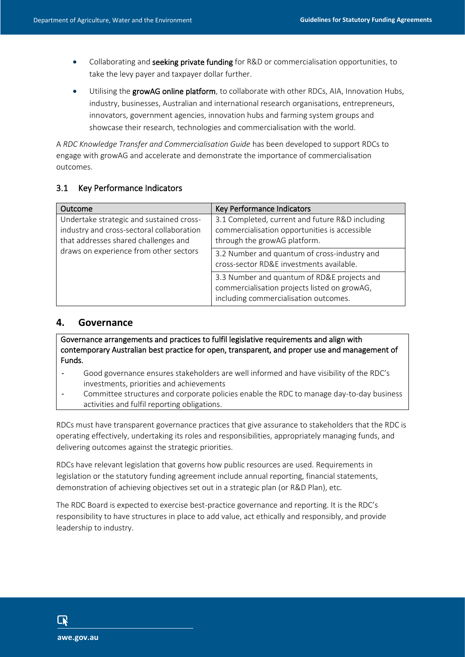- Collaborating and seeking private funding for R&D or commercialisation opportunities, to take the levy payer and taxpayer dollar further.
- Utilising the growAG online platform, to collaborate with other RDCs, AIA, Innovation Hubs, industry, businesses, Australian and international research organisations, entrepreneurs, innovators, government agencies, innovation hubs and farming system groups and showcase their research, technologies and commercialisation with the world.

A *RDC Knowledge Transfer and Commercialisation Guide* has been developed to support RDCs to engage with growAG and accelerate and demonstrate the importance of commercialisation outcomes.

#### 3.1 Key Performance Indicators

| Outcome                                                                                                                                                                 | Key Performance Indicators                                                                                                           |
|-------------------------------------------------------------------------------------------------------------------------------------------------------------------------|--------------------------------------------------------------------------------------------------------------------------------------|
| Undertake strategic and sustained cross-<br>industry and cross-sectoral collaboration<br>that addresses shared challenges and<br>draws on experience from other sectors | 3.1 Completed, current and future R&D including<br>commercialisation opportunities is accessible<br>through the growAG platform.     |
|                                                                                                                                                                         | 3.2 Number and quantum of cross-industry and<br>cross-sector RD&E investments available.                                             |
|                                                                                                                                                                         | 3.3 Number and quantum of RD&E projects and<br>commercialisation projects listed on growAG,<br>including commercialisation outcomes. |

#### **4. Governance**

Governance arrangements and practices to fulfil legislative requirements and align with contemporary Australian best practice for open, transparent, and proper use and management of Funds.

- Good governance ensures stakeholders are well informed and have visibility of the RDC's investments, priorities and achievements
- Committee structures and corporate policies enable the RDC to manage day-to-day business activities and fulfil reporting obligations.

RDCs must have transparent governance practices that give assurance to stakeholders that the RDC is operating effectively, undertaking its roles and responsibilities, appropriately managing funds, and delivering outcomes against the strategic priorities.

RDCs have relevant legislation that governs how public resources are used. Requirements in legislation or the statutory funding agreement include annual reporting, financial statements, demonstration of achieving objectives set out in a strategic plan (or R&D Plan), etc.

The RDC Board is expected to exercise best-practice governance and reporting. It is the RDC's responsibility to have structures in place to add value, act ethically and responsibly, and provide leadership to industry.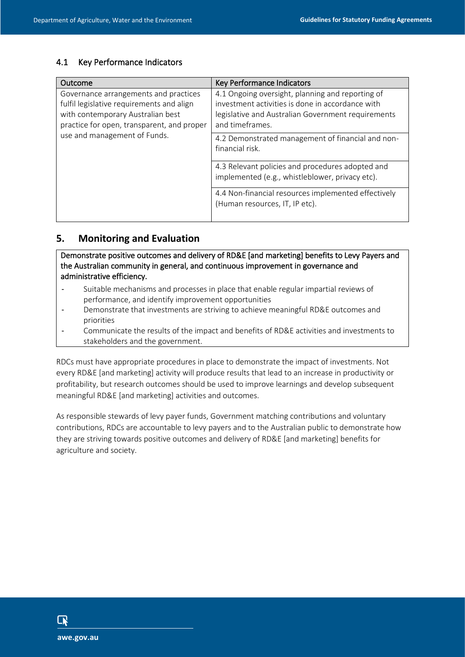| Outcome                                                                                                                                                                                               | Key Performance Indicators                                                                                                                                                    |
|-------------------------------------------------------------------------------------------------------------------------------------------------------------------------------------------------------|-------------------------------------------------------------------------------------------------------------------------------------------------------------------------------|
| Governance arrangements and practices<br>fulfil legislative requirements and align<br>with contemporary Australian best<br>practice for open, transparent, and proper<br>use and management of Funds. | 4.1 Ongoing oversight, planning and reporting of<br>investment activities is done in accordance with<br>legislative and Australian Government requirements<br>and timeframes. |
|                                                                                                                                                                                                       | 4.2 Demonstrated management of financial and non-<br>financial risk.                                                                                                          |
|                                                                                                                                                                                                       | 4.3 Relevant policies and procedures adopted and<br>implemented (e.g., whistleblower, privacy etc).                                                                           |
|                                                                                                                                                                                                       | 4.4 Non-financial resources implemented effectively<br>(Human resources, IT, IP etc).                                                                                         |

## **5. Monitoring and Evaluation**

Demonstrate positive outcomes and delivery of RD&E [and marketing] benefits to Levy Payers and the Australian community in general, and continuous improvement in governance and administrative efficiency.

- Suitable mechanisms and processes in place that enable regular impartial reviews of performance, and identify improvement opportunities
- Demonstrate that investments are striving to achieve meaningful RD&E outcomes and priorities
- Communicate the results of the impact and benefits of RD&E activities and investments to stakeholders and the government.

RDCs must have appropriate procedures in place to demonstrate the impact of investments. Not every RD&E [and marketing] activity will produce results that lead to an increase in productivity or profitability, but research outcomes should be used to improve learnings and develop subsequent meaningful RD&E [and marketing] activities and outcomes.

As responsible stewards of levy payer funds, Government matching contributions and voluntary contributions, RDCs are accountable to levy payers and to the Australian public to demonstrate how they are striving towards positive outcomes and delivery of RD&E [and marketing] benefits for agriculture and society.